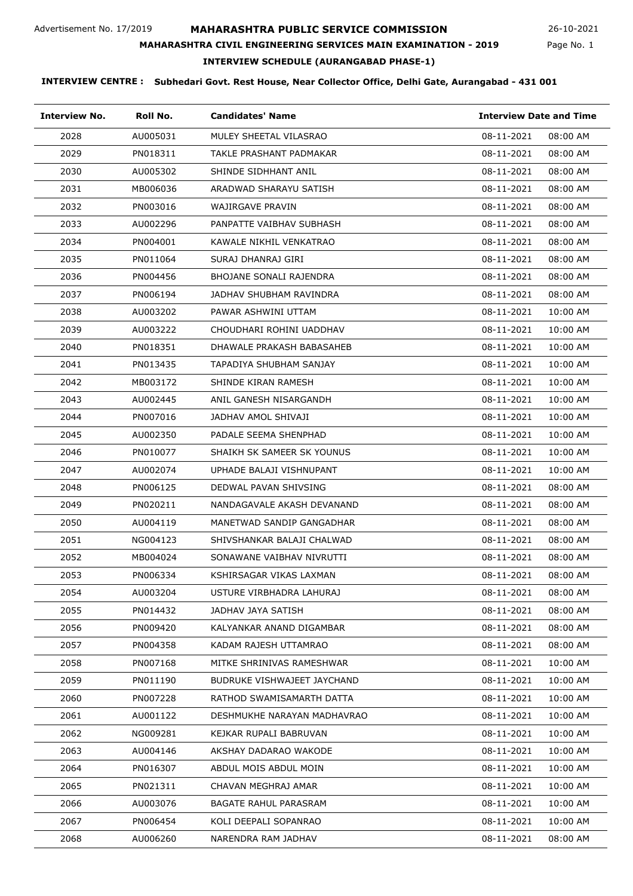**MAHARASHTRA CIVIL ENGINEERING SERVICES MAIN EXAMINATION - 2019**

26-10-2021

## Page No. 1

# **INTERVIEW SCHEDULE (AURANGABAD PHASE-1)**

| <b>Interview No.</b> | Roll No. | <b>Candidates' Name</b>     | <b>Interview Date and Time</b> |
|----------------------|----------|-----------------------------|--------------------------------|
| 2028                 | AU005031 | MULEY SHEETAL VILASRAO      | 08-11-2021<br>08:00 AM         |
| 2029                 | PN018311 | TAKLE PRASHANT PADMAKAR     | 08-11-2021<br>08:00 AM         |
| 2030                 | AU005302 | SHINDE SIDHHANT ANIL        | 08-11-2021<br>08:00 AM         |
| 2031                 | MB006036 | ARADWAD SHARAYU SATISH      | 08-11-2021<br>08:00 AM         |
| 2032                 | PN003016 | WAJIRGAVE PRAVIN            | 08-11-2021<br>08:00 AM         |
| 2033                 | AU002296 | PANPATTE VAIBHAV SUBHASH    | 08-11-2021<br>08:00 AM         |
| 2034                 | PN004001 | KAWALE NIKHIL VENKATRAO     | 08-11-2021<br>08:00 AM         |
| 2035                 | PN011064 | SURAJ DHANRAJ GIRI          | 08-11-2021<br>08:00 AM         |
| 2036                 | PN004456 | BHOJANE SONALI RAJENDRA     | 08-11-2021<br>08:00 AM         |
| 2037                 | PN006194 | JADHAV SHUBHAM RAVINDRA     | 08-11-2021<br>08:00 AM         |
| 2038                 | AU003202 | PAWAR ASHWINI UTTAM         | 08-11-2021<br>10:00 AM         |
| 2039                 | AU003222 | CHOUDHARI ROHINI UADDHAV    | 08-11-2021<br>10:00 AM         |
| 2040                 | PN018351 | DHAWALE PRAKASH BABASAHEB   | 08-11-2021<br>10:00 AM         |
| 2041                 | PN013435 | TAPADIYA SHUBHAM SANJAY     | 08-11-2021<br>10:00 AM         |
| 2042                 | MB003172 | SHINDE KIRAN RAMESH         | 08-11-2021<br>10:00 AM         |
| 2043                 | AU002445 | ANIL GANESH NISARGANDH      | 08-11-2021<br>10:00 AM         |
| 2044                 | PN007016 | JADHAV AMOL SHIVAJI         | 08-11-2021<br>10:00 AM         |
| 2045                 | AU002350 | PADALE SEEMA SHENPHAD       | 08-11-2021<br>10:00 AM         |
| 2046                 | PN010077 | SHAIKH SK SAMEER SK YOUNUS  | 08-11-2021<br>10:00 AM         |
| 2047                 | AU002074 | UPHADE BALAJI VISHNUPANT    | 08-11-2021<br>10:00 AM         |
| 2048                 | PN006125 | DEDWAL PAVAN SHIVSING       | 08-11-2021<br>08:00 AM         |
| 2049                 | PN020211 | NANDAGAVALE AKASH DEVANAND  | 08-11-2021<br>08:00 AM         |
| 2050                 | AU004119 | MANETWAD SANDIP GANGADHAR   | 08-11-2021<br>08:00 AM         |
| 2051                 | NG004123 | SHIVSHANKAR BALAJI CHALWAD  | 08-11-2021<br>08:00 AM         |
| 2052                 | MB004024 | SONAWANE VAIBHAV NIVRUTTI   | 08-11-2021<br>08:00 AM         |
| 2053                 | PN006334 | KSHIRSAGAR VIKAS LAXMAN     | 08-11-2021<br>08:00 AM         |
| 2054                 | AU003204 | USTURE VIRBHADRA LAHURAJ    | 08-11-2021<br>08:00 AM         |
| 2055                 | PN014432 | JADHAV JAYA SATISH          | 08-11-2021<br>08:00 AM         |
| 2056                 | PN009420 | KALYANKAR ANAND DIGAMBAR    | 08-11-2021<br>08:00 AM         |
| 2057                 | PN004358 | KADAM RAJESH UTTAMRAO       | 08-11-2021<br>08:00 AM         |
| 2058                 | PN007168 | MITKE SHRINIVAS RAMESHWAR   | 08-11-2021<br>10:00 AM         |
| 2059                 | PN011190 | BUDRUKE VISHWAJEET JAYCHAND | 08-11-2021<br>10:00 AM         |
| 2060                 | PN007228 | RATHOD SWAMISAMARTH DATTA   | 08-11-2021<br>10:00 AM         |
| 2061                 | AU001122 | DESHMUKHE NARAYAN MADHAVRAO | 08-11-2021<br>10:00 AM         |
| 2062                 | NG009281 | KEJKAR RUPALI BABRUVAN      | 08-11-2021<br>10:00 AM         |
| 2063                 | AU004146 | AKSHAY DADARAO WAKODE       | 08-11-2021<br>10:00 AM         |
| 2064                 | PN016307 | ABDUL MOIS ABDUL MOIN       | 08-11-2021<br>10:00 AM         |
| 2065                 | PN021311 | CHAVAN MEGHRAJ AMAR         | 08-11-2021<br>10:00 AM         |
| 2066                 | AU003076 | BAGATE RAHUL PARASRAM       | 08-11-2021<br>10:00 AM         |
| 2067                 | PN006454 | KOLI DEEPALI SOPANRAO       | 08-11-2021<br>10:00 AM         |
| 2068                 | AU006260 | NARENDRA RAM JADHAV         | 08-11-2021<br>08:00 AM         |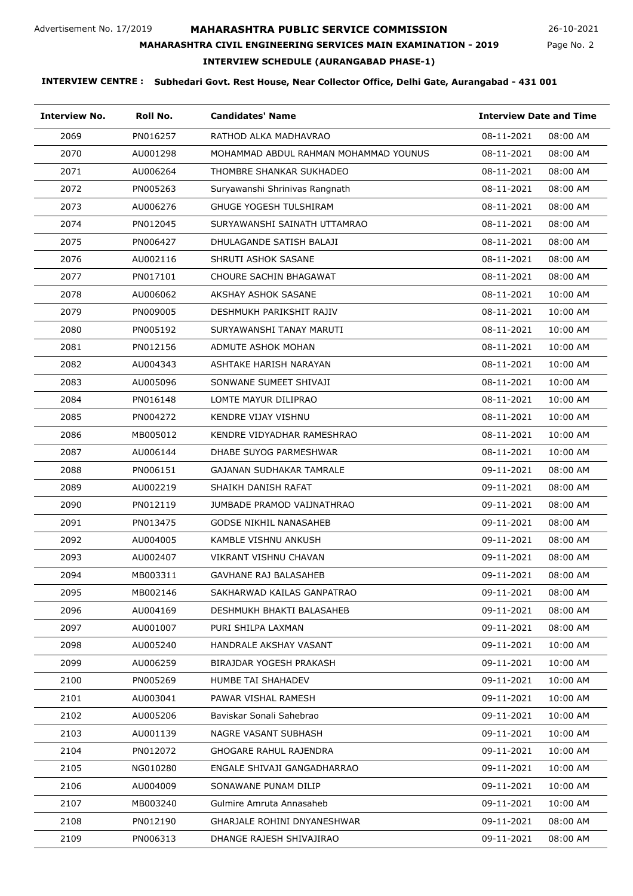**MAHARASHTRA CIVIL ENGINEERING SERVICES MAIN EXAMINATION - 2019**

26-10-2021

Page No. 2

# **INTERVIEW SCHEDULE (AURANGABAD PHASE-1)**

| <b>Interview No.</b> | Roll No. | <b>Candidates' Name</b>               | <b>Interview Date and Time</b> |          |
|----------------------|----------|---------------------------------------|--------------------------------|----------|
| 2069                 | PN016257 | RATHOD ALKA MADHAVRAO                 | 08-11-2021                     | 08:00 AM |
| 2070                 | AU001298 | MOHAMMAD ABDUL RAHMAN MOHAMMAD YOUNUS | 08-11-2021                     | 08:00 AM |
| 2071                 | AU006264 | THOMBRE SHANKAR SUKHADEO              | 08-11-2021                     | 08:00 AM |
| 2072                 | PN005263 | Suryawanshi Shrinivas Rangnath        | 08-11-2021                     | 08:00 AM |
| 2073                 | AU006276 | GHUGE YOGESH TULSHIRAM                | 08-11-2021                     | 08:00 AM |
| 2074                 | PN012045 | SURYAWANSHI SAINATH UTTAMRAO          | 08-11-2021                     | 08:00 AM |
| 2075                 | PN006427 | DHULAGANDE SATISH BALAJI              | 08-11-2021                     | 08:00 AM |
| 2076                 | AU002116 | SHRUTI ASHOK SASANE                   | 08-11-2021                     | 08:00 AM |
| 2077                 | PN017101 | CHOURE SACHIN BHAGAWAT                | 08-11-2021                     | 08:00 AM |
| 2078                 | AU006062 | AKSHAY ASHOK SASANE                   | 08-11-2021                     | 10:00 AM |
| 2079                 | PN009005 | DESHMUKH PARIKSHIT RAJIV              | 08-11-2021                     | 10:00 AM |
| 2080                 | PN005192 | SURYAWANSHI TANAY MARUTI              | 08-11-2021                     | 10:00 AM |
| 2081                 | PN012156 | ADMUTE ASHOK MOHAN                    | 08-11-2021                     | 10:00 AM |
| 2082                 | AU004343 | ASHTAKE HARISH NARAYAN                | 08-11-2021                     | 10:00 AM |
| 2083                 | AU005096 | SONWANE SUMEET SHIVAJI                | 08-11-2021                     | 10:00 AM |
| 2084                 | PN016148 | LOMTE MAYUR DILIPRAO                  | 08-11-2021                     | 10:00 AM |
| 2085                 | PN004272 | KENDRE VIJAY VISHNU                   | 08-11-2021                     | 10:00 AM |
| 2086                 | MB005012 | KENDRE VIDYADHAR RAMESHRAO            | 08-11-2021                     | 10:00 AM |
| 2087                 | AU006144 | DHABE SUYOG PARMESHWAR                | 08-11-2021                     | 10:00 AM |
| 2088                 | PN006151 | GAJANAN SUDHAKAR TAMRALE              | 09-11-2021                     | 08:00 AM |
| 2089                 | AU002219 | SHAIKH DANISH RAFAT                   | 09-11-2021                     | 08:00 AM |
| 2090                 | PN012119 | JUMBADE PRAMOD VAIJNATHRAO            | 09-11-2021                     | 08:00 AM |
| 2091                 | PN013475 | GODSE NIKHIL NANASAHEB                | 09-11-2021                     | 08:00 AM |
| 2092                 | AU004005 | KAMBLE VISHNU ANKUSH                  | 09-11-2021                     | 08:00 AM |
| 2093                 | AU002407 | VIKRANT VISHNU CHAVAN                 | 09-11-2021                     | 08:00 AM |
| 2094                 | MB003311 | GAVHANE RAJ BALASAHEB                 | 09-11-2021                     | 08:00 AM |
| 2095                 | MB002146 | SAKHARWAD KAILAS GANPATRAO            | 09-11-2021                     | 08:00 AM |
| 2096                 | AU004169 | DESHMUKH BHAKTI BALASAHEB             | 09-11-2021                     | 08:00 AM |
| 2097                 | AU001007 | PURI SHILPA LAXMAN                    | 09-11-2021                     | 08:00 AM |
| 2098                 | AU005240 | HANDRALE AKSHAY VASANT                | 09-11-2021                     | 10:00 AM |
| 2099                 | AU006259 | BIRAJDAR YOGESH PRAKASH               | 09-11-2021                     | 10:00 AM |
| 2100                 | PN005269 | <b>HUMBE TAI SHAHADEV</b>             | 09-11-2021                     | 10:00 AM |
| 2101                 | AU003041 | PAWAR VISHAL RAMESH                   | 09-11-2021                     | 10:00 AM |
| 2102                 | AU005206 | Baviskar Sonali Sahebrao              | 09-11-2021                     | 10:00 AM |
| 2103                 | AU001139 | NAGRE VASANT SUBHASH                  | 09-11-2021                     | 10:00 AM |
| 2104                 | PN012072 | GHOGARE RAHUL RAJENDRA                | 09-11-2021                     | 10:00 AM |
| 2105                 | NG010280 | ENGALE SHIVAJI GANGADHARRAO           | 09-11-2021                     | 10:00 AM |
| 2106                 | AU004009 | SONAWANE PUNAM DILIP                  | 09-11-2021                     | 10:00 AM |
| 2107                 | MB003240 | Gulmire Amruta Annasaheb              | 09-11-2021                     | 10:00 AM |
| 2108                 | PN012190 | GHARJALE ROHINI DNYANESHWAR           | 09-11-2021                     | 08:00 AM |
| 2109                 | PN006313 | DHANGE RAJESH SHIVAJIRAO              | 09-11-2021                     | 08:00 AM |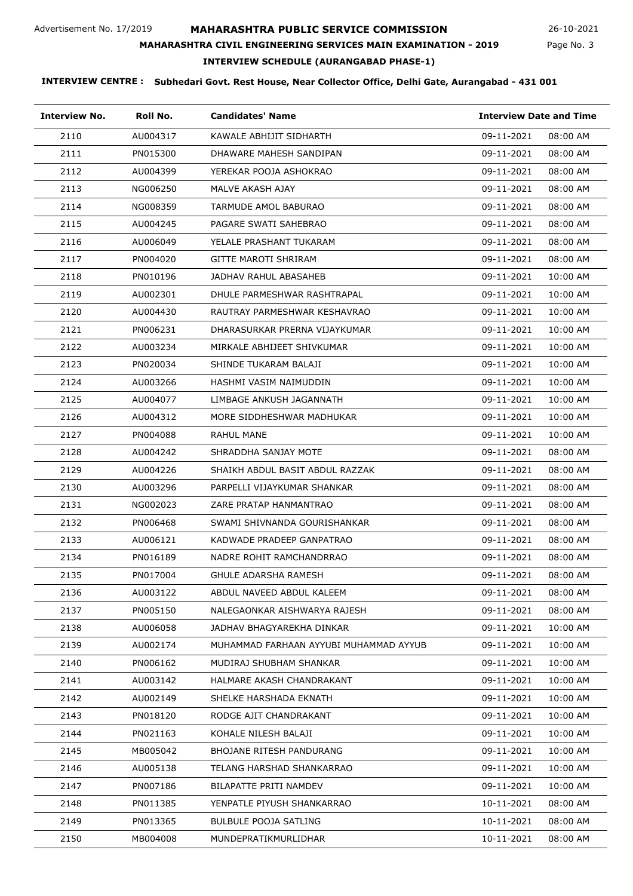**MAHARASHTRA CIVIL ENGINEERING SERVICES MAIN EXAMINATION - 2019**

26-10-2021

# **INTERVIEW SCHEDULE (AURANGABAD PHASE-1)**

| <b>Interview No.</b> | Roll No. | <b>Candidates' Name</b>                | <b>Interview Date and Time</b> |          |
|----------------------|----------|----------------------------------------|--------------------------------|----------|
| 2110                 | AU004317 | KAWALE ABHIJIT SIDHARTH                | 09-11-2021                     | 08:00 AM |
| 2111                 | PN015300 | DHAWARE MAHESH SANDIPAN                | 09-11-2021                     | 08:00 AM |
| 2112                 | AU004399 | YEREKAR POOJA ASHOKRAO                 | 09-11-2021                     | 08:00 AM |
| 2113                 | NG006250 | MALVE AKASH AJAY                       | 09-11-2021                     | 08:00 AM |
| 2114                 | NG008359 | TARMUDE AMOL BABURAO                   | 09-11-2021                     | 08:00 AM |
| 2115                 | AU004245 | PAGARE SWATI SAHEBRAO                  | 09-11-2021                     | 08:00 AM |
| 2116                 | AU006049 | YELALE PRASHANT TUKARAM                | 09-11-2021                     | 08:00 AM |
| 2117                 | PN004020 | <b>GITTE MAROTI SHRIRAM</b>            | 09-11-2021                     | 08:00 AM |
| 2118                 | PN010196 | JADHAV RAHUL ABASAHEB                  | 09-11-2021                     | 10:00 AM |
| 2119                 | AU002301 | DHULE PARMESHWAR RASHTRAPAL            | 09-11-2021                     | 10:00 AM |
| 2120                 | AU004430 | RAUTRAY PARMESHWAR KESHAVRAO           | 09-11-2021                     | 10:00 AM |
| 2121                 | PN006231 | DHARASURKAR PRERNA VIJAYKUMAR          | 09-11-2021                     | 10:00 AM |
| 2122                 | AU003234 | MIRKALE ABHIJEET SHIVKUMAR             | 09-11-2021                     | 10:00 AM |
| 2123                 | PN020034 | SHINDE TUKARAM BALAJI                  | 09-11-2021                     | 10:00 AM |
| 2124                 | AU003266 | HASHMI VASIM NAIMUDDIN                 | 09-11-2021                     | 10:00 AM |
| 2125                 | AU004077 | LIMBAGE ANKUSH JAGANNATH               | 09-11-2021                     | 10:00 AM |
| 2126                 | AU004312 | MORE SIDDHESHWAR MADHUKAR              | 09-11-2021                     | 10:00 AM |
| 2127                 | PN004088 | RAHUL MANE                             | 09-11-2021                     | 10:00 AM |
| 2128                 | AU004242 | SHRADDHA SANJAY MOTE                   | 09-11-2021                     | 08:00 AM |
| 2129                 | AU004226 | SHAIKH ABDUL BASIT ABDUL RAZZAK        | 09-11-2021                     | 08:00 AM |
| 2130                 | AU003296 | PARPELLI VIJAYKUMAR SHANKAR            | 09-11-2021                     | 08:00 AM |
| 2131                 | NG002023 | ZARE PRATAP HANMANTRAO                 | 09-11-2021                     | 08:00 AM |
| 2132                 | PN006468 | SWAMI SHIVNANDA GOURISHANKAR           | 09-11-2021                     | 08:00 AM |
| 2133                 | AU006121 | KADWADE PRADEEP GANPATRAO              | 09-11-2021                     | 08:00 AM |
| 2134                 | PN016189 | NADRE ROHIT RAMCHANDRRAO               | 09-11-2021                     | 08:00 AM |
| 2135                 | PN017004 | GHULE ADARSHA RAMESH                   | 09-11-2021                     | 08:00 AM |
| 2136                 | AU003122 | ABDUL NAVEED ABDUL KALEEM              | 09-11-2021                     | 08:00 AM |
| 2137                 | PN005150 | NALEGAONKAR AISHWARYA RAJESH           | 09-11-2021                     | 08:00 AM |
| 2138                 | AU006058 | JADHAV BHAGYAREKHA DINKAR              | 09-11-2021                     | 10:00 AM |
| 2139                 | AU002174 | MUHAMMAD FARHAAN AYYUBI MUHAMMAD AYYUB | 09-11-2021                     | 10:00 AM |
| 2140                 | PN006162 | MUDIRAJ SHUBHAM SHANKAR                | 09-11-2021                     | 10:00 AM |
| 2141                 | AU003142 | HALMARE AKASH CHANDRAKANT              | 09-11-2021                     | 10:00 AM |
| 2142                 | AU002149 | SHELKE HARSHADA EKNATH                 | 09-11-2021                     | 10:00 AM |
| 2143                 | PN018120 | RODGE AJIT CHANDRAKANT                 | 09-11-2021                     | 10:00 AM |
| 2144                 | PN021163 | KOHALE NILESH BALAJI                   | 09-11-2021                     | 10:00 AM |
| 2145                 | MB005042 | BHOJANE RITESH PANDURANG               | 09-11-2021                     | 10:00 AM |
| 2146                 | AU005138 | TELANG HARSHAD SHANKARRAO              | 09-11-2021                     | 10:00 AM |
| 2147                 | PN007186 | BILAPATTE PRITI NAMDEV                 | 09-11-2021                     | 10:00 AM |
| 2148                 | PN011385 | YENPATLE PIYUSH SHANKARRAO             | 10-11-2021                     | 08:00 AM |
| 2149                 | PN013365 | <b>BULBULE POOJA SATLING</b>           | 10-11-2021                     | 08:00 AM |
| 2150                 | MB004008 | MUNDEPRATIKMURLIDHAR                   | 10-11-2021                     | 08:00 AM |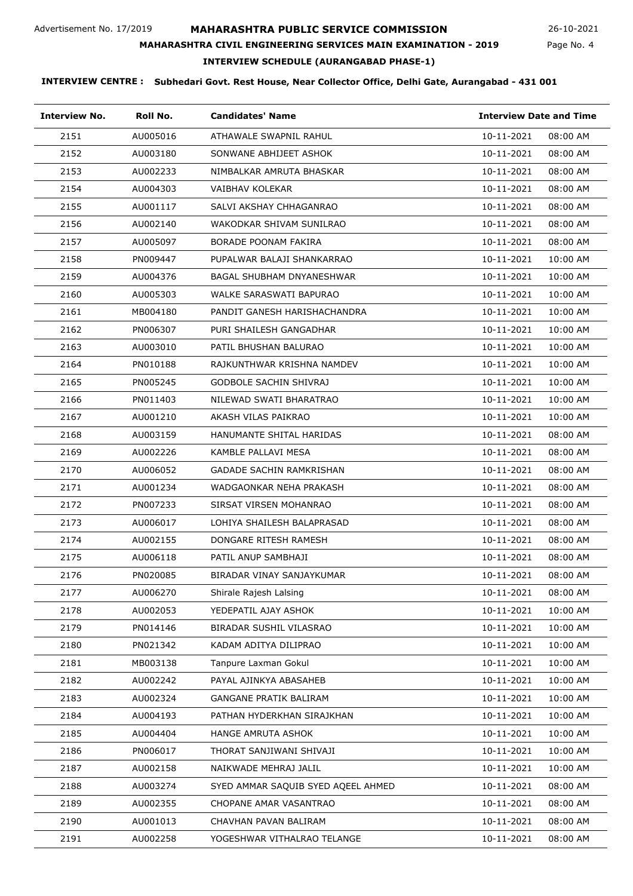**MAHARASHTRA CIVIL ENGINEERING SERVICES MAIN EXAMINATION - 2019**

26-10-2021

## Page No. 4

# **INTERVIEW SCHEDULE (AURANGABAD PHASE-1)**

| <b>Interview No.</b> | Roll No. | <b>Candidates' Name</b>            | <b>Interview Date and Time</b> |  |
|----------------------|----------|------------------------------------|--------------------------------|--|
| 2151                 | AU005016 | ATHAWALE SWAPNIL RAHUL             | 10-11-2021<br>08:00 AM         |  |
| 2152                 | AU003180 | SONWANE ABHIJEET ASHOK             | 10-11-2021<br>08:00 AM         |  |
| 2153                 | AU002233 | NIMBALKAR AMRUTA BHASKAR           | 10-11-2021<br>08:00 AM         |  |
| 2154                 | AU004303 | VAIBHAV KOLEKAR                    | 10-11-2021<br>08:00 AM         |  |
| 2155                 | AU001117 | SALVI AKSHAY CHHAGANRAO            | 10-11-2021<br>08:00 AM         |  |
| 2156                 | AU002140 | WAKODKAR SHIVAM SUNILRAO           | 10-11-2021<br>08:00 AM         |  |
| 2157                 | AU005097 | BORADE POONAM FAKIRA               | 10-11-2021<br>08:00 AM         |  |
| 2158                 | PN009447 | PUPALWAR BALAJI SHANKARRAO         | 10-11-2021<br>10:00 AM         |  |
| 2159                 | AU004376 | BAGAL SHUBHAM DNYANESHWAR          | 10-11-2021<br>10:00 AM         |  |
| 2160                 | AU005303 | WALKE SARASWATI BAPURAO            | 10-11-2021<br>10:00 AM         |  |
| 2161                 | MB004180 | PANDIT GANESH HARISHACHANDRA       | 10-11-2021<br>10:00 AM         |  |
| 2162                 | PN006307 | PURI SHAILESH GANGADHAR            | 10-11-2021<br>10:00 AM         |  |
| 2163                 | AU003010 | PATIL BHUSHAN BALURAO              | 10-11-2021<br>10:00 AM         |  |
| 2164                 | PN010188 | RAJKUNTHWAR KRISHNA NAMDEV         | 10-11-2021<br>10:00 AM         |  |
| 2165                 | PN005245 | GODBOLE SACHIN SHIVRAJ             | 10-11-2021<br>10:00 AM         |  |
| 2166                 | PN011403 | NILEWAD SWATI BHARATRAO            | 10-11-2021<br>10:00 AM         |  |
| 2167                 | AU001210 | AKASH VILAS PAIKRAO                | 10-11-2021<br>10:00 AM         |  |
| 2168                 | AU003159 | HANUMANTE SHITAL HARIDAS           | 10-11-2021<br>08:00 AM         |  |
| 2169                 | AU002226 | KAMBLE PALLAVI MESA                | 10-11-2021<br>08:00 AM         |  |
| 2170                 | AU006052 | GADADE SACHIN RAMKRISHAN           | 10-11-2021<br>08:00 AM         |  |
| 2171                 | AU001234 | WADGAONKAR NEHA PRAKASH            | 10-11-2021<br>08:00 AM         |  |
| 2172                 | PN007233 | SIRSAT VIRSEN MOHANRAO             | 10-11-2021<br>08:00 AM         |  |
| 2173                 | AU006017 | LOHIYA SHAILESH BALAPRASAD         | 10-11-2021<br>08:00 AM         |  |
| 2174                 | AU002155 | DONGARE RITESH RAMESH              | 10-11-2021<br>08:00 AM         |  |
| 2175                 | AU006118 | PATIL ANUP SAMBHAJI                | 10-11-2021<br>08:00 AM         |  |
| 2176                 | PN020085 | BIRADAR VINAY SANJAYKUMAR          | 10-11-2021<br>08:00 AM         |  |
| 2177                 | AU006270 | Shirale Rajesh Lalsing             | 10-11-2021<br>08:00 AM         |  |
| 2178                 | AU002053 | YEDEPATIL AJAY ASHOK               | 10-11-2021<br>10:00 AM         |  |
| 2179                 | PN014146 | BIRADAR SUSHIL VILASRAO            | 10-11-2021<br>10:00 AM         |  |
| 2180                 | PN021342 | KADAM ADITYA DILIPRAO              | 10-11-2021<br>10:00 AM         |  |
| 2181                 | MB003138 | Tanpure Laxman Gokul               | 10-11-2021<br>10:00 AM         |  |
| 2182                 | AU002242 | PAYAL AJINKYA ABASAHEB             | 10-11-2021<br>10:00 AM         |  |
| 2183                 | AU002324 | <b>GANGANE PRATIK BALIRAM</b>      | 10-11-2021<br>10:00 AM         |  |
| 2184                 | AU004193 | PATHAN HYDERKHAN SIRAJKHAN         | 10-11-2021<br>10:00 AM         |  |
| 2185                 | AU004404 | HANGE AMRUTA ASHOK                 | 10-11-2021<br>10:00 AM         |  |
| 2186                 | PN006017 | THORAT SANJIWANI SHIVAJI           | 10-11-2021<br>10:00 AM         |  |
| 2187                 | AU002158 | NAIKWADE MEHRAJ JALIL              | 10-11-2021<br>10:00 AM         |  |
| 2188                 | AU003274 | SYED AMMAR SAQUIB SYED AQEEL AHMED | 10-11-2021<br>08:00 AM         |  |
| 2189                 | AU002355 | CHOPANE AMAR VASANTRAO             | 10-11-2021<br>08:00 AM         |  |
| 2190                 | AU001013 | CHAVHAN PAVAN BALIRAM              | 10-11-2021<br>08:00 AM         |  |
| 2191                 | AU002258 | YOGESHWAR VITHALRAO TELANGE        | 10-11-2021<br>08:00 AM         |  |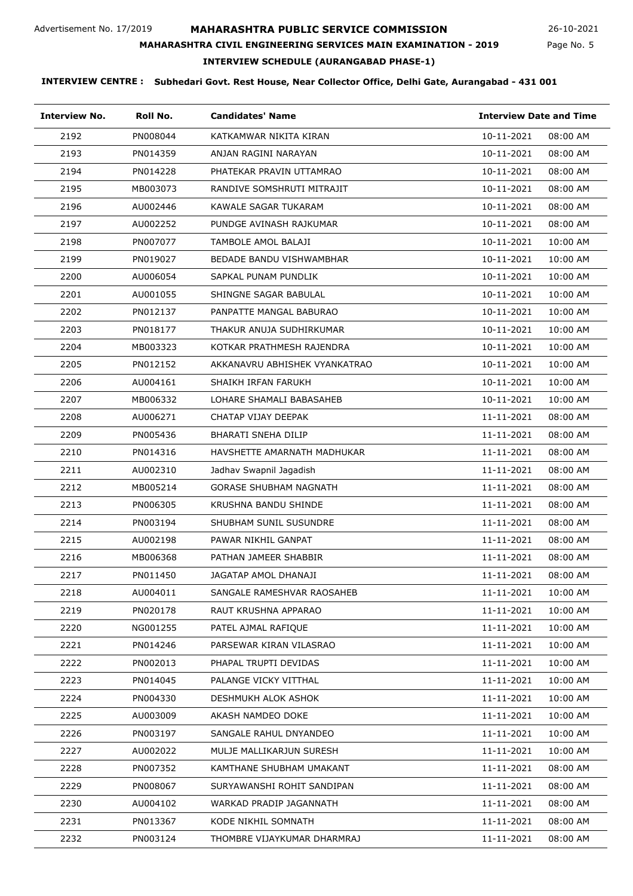Page No. 5 26-10-2021

# **MAHARASHTRA CIVIL ENGINEERING SERVICES MAIN EXAMINATION - 2019**

**INTERVIEW SCHEDULE (AURANGABAD PHASE-1)**

| <b>Interview No.</b> | Roll No. | <b>Candidates' Name</b>       | <b>Interview Date and Time</b> |
|----------------------|----------|-------------------------------|--------------------------------|
| 2192                 | PN008044 | KATKAMWAR NIKITA KIRAN        | 10-11-2021<br>08:00 AM         |
| 2193                 | PN014359 | ANJAN RAGINI NARAYAN          | 10-11-2021<br>08:00 AM         |
| 2194                 | PN014228 | PHATEKAR PRAVIN UTTAMRAO      | 10-11-2021<br>08:00 AM         |
| 2195                 | MB003073 | RANDIVE SOMSHRUTI MITRAJIT    | 10-11-2021<br>08:00 AM         |
| 2196                 | AU002446 | KAWALE SAGAR TUKARAM          | 10-11-2021<br>08:00 AM         |
| 2197                 | AU002252 | PUNDGE AVINASH RAJKUMAR       | 10-11-2021<br>08:00 AM         |
| 2198                 | PN007077 | TAMBOLE AMOL BALAJI           | 10-11-2021<br>10:00 AM         |
| 2199                 | PN019027 | BEDADE BANDU VISHWAMBHAR      | 10-11-2021<br>10:00 AM         |
| 2200                 | AU006054 | SAPKAL PUNAM PUNDLIK          | 10-11-2021<br>10:00 AM         |
| 2201                 | AU001055 | SHINGNE SAGAR BABULAL         | 10-11-2021<br>10:00 AM         |
| 2202                 | PN012137 | PANPATTE MANGAL BABURAO       | 10-11-2021<br>10:00 AM         |
| 2203                 | PN018177 | THAKUR ANUJA SUDHIRKUMAR      | 10-11-2021<br>10:00 AM         |
| 2204                 | MB003323 | KOTKAR PRATHMESH RAJENDRA     | 10-11-2021<br>10:00 AM         |
| 2205                 | PN012152 | AKKANAVRU ABHISHEK VYANKATRAO | 10-11-2021<br>10:00 AM         |
| 2206                 | AU004161 | SHAIKH IRFAN FARUKH           | 10-11-2021<br>10:00 AM         |
| 2207                 | MB006332 | LOHARE SHAMALI BABASAHEB      | 10-11-2021<br>10:00 AM         |
| 2208                 | AU006271 | CHATAP VIJAY DEEPAK           | 11-11-2021<br>08:00 AM         |
| 2209                 | PN005436 | <b>BHARATI SNEHA DILIP</b>    | 11-11-2021<br>08:00 AM         |
| 2210                 | PN014316 | HAVSHETTE AMARNATH MADHUKAR   | 08:00 AM<br>11-11-2021         |
| 2211                 | AU002310 | Jadhav Swapnil Jagadish       | 11-11-2021<br>08:00 AM         |
| 2212                 | MB005214 | <b>GORASE SHUBHAM NAGNATH</b> | 11-11-2021<br>08:00 AM         |
| 2213                 | PN006305 | KRUSHNA BANDU SHINDE          | 11-11-2021<br>08:00 AM         |
| 2214                 | PN003194 | SHUBHAM SUNIL SUSUNDRE        | 08:00 AM<br>11-11-2021         |
| 2215                 | AU002198 | PAWAR NIKHIL GANPAT           | 11-11-2021<br>08:00 AM         |
| 2216                 | MB006368 | PATHAN JAMEER SHABBIR         | 11-11-2021<br>08:00 AM         |
| 2217                 | PN011450 | JAGATAP AMOL DHANAJI          | 11-11-2021<br>08:00 AM         |
| 2218                 | AU004011 | SANGALE RAMESHVAR RAOSAHEB    | 11-11-2021<br>10:00 AM         |
| 2219                 | PN020178 | RAUT KRUSHNA APPARAO          | 11-11-2021<br>10:00 AM         |
| 2220                 | NG001255 | PATEL AJMAL RAFIQUE           | 11-11-2021<br>10:00 AM         |
| 2221                 | PN014246 | PARSEWAR KIRAN VILASRAO       | 11-11-2021<br>10:00 AM         |
| 2222                 | PN002013 | PHAPAL TRUPTI DEVIDAS         | 11-11-2021<br>10:00 AM         |
| 2223                 | PN014045 | PALANGE VICKY VITTHAL         | 11-11-2021<br>10:00 AM         |
| 2224                 | PN004330 | DESHMUKH ALOK ASHOK           | 11-11-2021<br>10:00 AM         |
| 2225                 | AU003009 | AKASH NAMDEO DOKE             | 11-11-2021<br>10:00 AM         |
| 2226                 | PN003197 | SANGALE RAHUL DNYANDEO        | 11-11-2021<br>10:00 AM         |
| 2227                 | AU002022 | MULJE MALLIKARJUN SURESH      | 11-11-2021<br>10:00 AM         |
| 2228                 | PN007352 | KAMTHANE SHUBHAM UMAKANT      | 11-11-2021<br>08:00 AM         |
| 2229                 | PN008067 | SURYAWANSHI ROHIT SANDIPAN    | 11-11-2021<br>08:00 AM         |
| 2230                 | AU004102 | WARKAD PRADIP JAGANNATH       | 11-11-2021<br>08:00 AM         |
| 2231                 | PN013367 | KODE NIKHIL SOMNATH           | 11-11-2021<br>08:00 AM         |
| 2232                 | PN003124 | THOMBRE VIJAYKUMAR DHARMRAJ   | 11-11-2021<br>08:00 AM         |